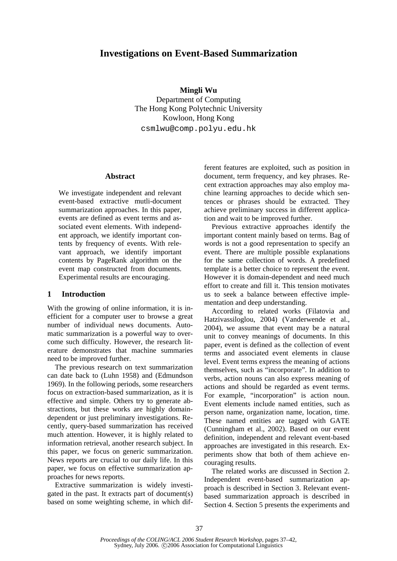# **Investigations on Event-Based Summarization**

**Mingli Wu**  Department of Computing The Hong Kong Polytechnic University Kowloon, Hong Kong csmlwu@comp.polyu.edu.hk

### **Abstract**

We investigate independent and relevant event-based extractive mutli-document summarization approaches. In this paper, events are defined as event terms and associated event elements. With independent approach, we identify important contents by frequency of events. With relevant approach, we identify important contents by PageRank algorithm on the event map constructed from documents. Experimental results are encouraging.

### **1 Introduction**

With the growing of online information, it is inefficient for a computer user to browse a great number of individual news documents. Automatic summarization is a powerful way to overcome such difficulty. However, the research literature demonstrates that machine summaries need to be improved further.

The previous research on text summarization can date back to (Luhn 1958) and (Edmundson 1969). In the following periods, some researchers focus on extraction-based summarization, as it is effective and simple. Others try to generate abstractions, but these works are highly domaindependent or just preliminary investigations. Recently, query-based summarization has received much attention. However, it is highly related to information retrieval, another research subject. In this paper, we focus on generic summarization. News reports are crucial to our daily life. In this paper, we focus on effective summarization approaches for news reports.

Extractive summarization is widely investigated in the past. It extracts part of document(s) based on some weighting scheme, in which different features are exploited, such as position in document, term frequency, and key phrases. Recent extraction approaches may also employ machine learning approaches to decide which sentences or phrases should be extracted. They achieve preliminary success in different application and wait to be improved further.

Previous extractive approaches identify the important content mainly based on terms. Bag of words is not a good representation to specify an event. There are multiple possible explanations for the same collection of words. A predefined template is a better choice to represent the event. However it is domain-dependent and need much effort to create and fill it. This tension motivates us to seek a balance between effective implementation and deep understanding.

According to related works (Filatovia and Hatzivassiloglou, 2004) (Vanderwende et al., 2004), we assume that event may be a natural unit to convey meanings of documents. In this paper, event is defined as the collection of event terms and associated event elements in clause level. Event terms express the meaning of actions themselves, such as "incorporate". In addition to verbs, action nouns can also express meaning of actions and should be regarded as event terms. For example, "incorporation" is action noun. Event elements include named entities, such as person name, organization name, location, time. These named entities are tagged with GATE (Cunningham et al., 2002). Based on our event definition, independent and relevant event-based approaches are investigated in this research. Experiments show that both of them achieve encouraging results.

The related works are discussed in Section 2. Independent event-based summarization approach is described in Section 3. Relevant eventbased summarization approach is described in Section 4. Section 5 presents the experiments and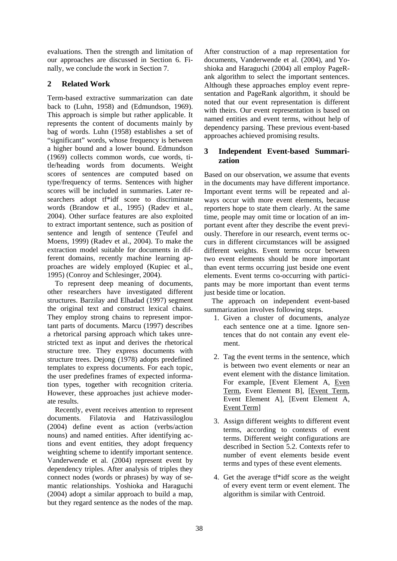evaluations. Then the strength and limitation of our approaches are discussed in Section 6. Finally, we conclude the work in Section 7.

# **2 Related Work**

Term-based extractive summarization can date back to (Luhn, 1958) and (Edmundson, 1969). This approach is simple but rather applicable. It represents the content of documents mainly by bag of words. Luhn (1958) establishes a set of "significant" words, whose frequency is between a higher bound and a lower bound. Edmundson (1969) collects common words, cue words, title/heading words from documents. Weight scores of sentences are computed based on type/frequency of terms. Sentences with higher scores will be included in summaries. Later researchers adopt tf\*idf score to discriminate words (Brandow et al., 1995) (Radev et al., 2004). Other surface features are also exploited to extract important sentence, such as position of sentence and length of sentence (Teufel and Moens, 1999) (Radev et al., 2004). To make the extraction model suitable for documents in different domains, recently machine learning approaches are widely employed (Kupiec et al., 1995) (Conroy and Schlesinger, 2004).

To represent deep meaning of documents, other researchers have investigated different structures. Barzilay and Elhadad (1997) segment the original text and construct lexical chains. They employ strong chains to represent important parts of documents. Marcu (1997) describes a rhetorical parsing approach which takes unrestricted text as input and derives the rhetorical structure tree. They express documents with structure trees. Dejong (1978) adopts predefined templates to express documents. For each topic, the user predefines frames of expected information types, together with recognition criteria. However, these approaches just achieve moderate results.

Recently, event receives attention to represent documents. Filatovia and Hatzivassiloglou (2004) define event as action (verbs/action nouns) and named entities. After identifying actions and event entities, they adopt frequency weighting scheme to identify important sentence. Vanderwende et al. (2004) represent event by dependency triples. After analysis of triples they connect nodes (words or phrases) by way of semantic relationships. Yoshioka and Haraguchi (2004) adopt a similar approach to build a map, but they regard sentence as the nodes of the map.

After construction of a map representation for documents, Vanderwende et al. (2004), and Yoshioka and Haraguchi (2004) all employ PageRank algorithm to select the important sentences. Although these approaches employ event representation and PageRank algorithm, it should be noted that our event representation is different with theirs. Our event representation is based on named entities and event terms, without help of dependency parsing. These previous event-based approaches achieved promising results.

# **3 Independent Event-based Summarization**

Based on our observation, we assume that events in the documents may have different importance. Important event terms will be repeated and always occur with more event elements, because reporters hope to state them clearly. At the same time, people may omit time or location of an important event after they describe the event previously. Therefore in our research, event terms occurs in different circumstances will be assigned different weights. Event terms occur between two event elements should be more important than event terms occurring just beside one event elements. Event terms co-occurring with participants may be more important than event terms just beside time or location.

The approach on independent event-based summarization involves following steps.

- 1. Given a cluster of documents, analyze each sentence one at a time. Ignore sentences that do not contain any event element.
- 2. Tag the event terms in the sentence, which is between two event elements or near an event element with the distance limitation. For example, [Event Element A, Even Term, Event Element B], [Event Term, Event Element A], [Event Element A, Event Term]
- 3. Assign different weights to different event terms, according to contexts of event terms. Different weight configurations are described in Section 5.2. Contexts refer to number of event elements beside event terms and types of these event elements.
- 4. Get the average tf\*idf score as the weight of every event term or event element. The algorithm is similar with Centroid.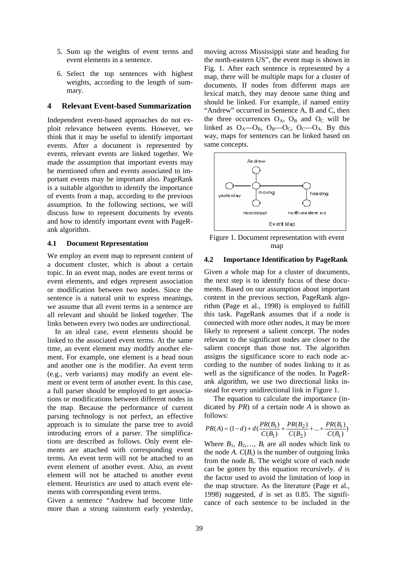- 5. Sum up the weights of event terms and event elements in a sentence.
- 6. Select the top sentences with highest weights, according to the length of summary.

### **4 Relevant Event-based Summarization**

Independent event-based approaches do not exploit relevance between events. However, we think that it may be useful to identify important events. After a document is represented by events, relevant events are linked together. We made the assumption that important events may be mentioned often and events associated to important events may be important also. PageRank is a suitable algorithm to identify the importance of events from a map, according to the previous assumption. In the following sections, we will discuss how to represent documents by events and how to identify important event with PageRank algorithm.

#### **4.1 Document Representation**

We employ an event map to represent content of a document cluster, which is about a certain topic. In an event map, nodes are event terms or event elements, and edges represent association or modification between two nodes. Since the sentence is a natural unit to express meanings, we assume that all event terms in a sentence are all relevant and should be linked together. The links between every two nodes are undirectional.

In an ideal case, event elements should be linked to the associated event terms. At the same time, an event element may modify another element. For example, one element is a head noun and another one is the modifier. An event term (e.g., verb variants) may modify an event element or event term of another event. In this case, a full parser should be employed to get associations or modifications between different nodes in the map. Because the performance of current parsing technology is not perfect, an effective approach is to simulate the parse tree to avoid introducing errors of a parser. The simplifications are described as follows. Only event elements are attached with corresponding event terms. An event term will not be attached to an event element of another event. Also, an event element will not be attached to another event element. Heuristics are used to attach event elements with corresponding event terms.

Given a sentence "Andrew had become little more than a strong rainstorm early yesterday,

moving across Mississippi state and heading for the north-eastern US", the event map is shown in Fig. 1. After each sentence is represented by a map, there will be multiple maps for a cluster of documents. If nodes from different maps are lexical match, they may denote same thing and should be linked. For example, if named entity "Andrew" occurred in Sentence A, B and C, then the three occurrences  $O_A$ ,  $O_B$  and  $O_C$  will be linked as  $O_A$ — $O_B$ ,  $O_B$ — $O_C$ ,  $O_C$ — $O_A$ . By this way, maps for sentences can be linked based on same concepts.



Figure 1. Document representation with event map

#### **4.2 Importance Identification by PageRank**

Given a whole map for a cluster of documents, the next step is to identify focus of these documents. Based on our assumption about important content in the previous section, PageRank algorithm (Page et al., 1998) is employed to fulfill this task. PageRank assumes that if a node is connected with more other nodes, it may be more likely to represent a salient concept. The nodes relevant to the significant nodes are closer to the salient concept than those not. The algorithm assigns the significance score to each node according to the number of nodes linking to it as well as the significance of the nodes. In PageRank algorithm, we use two directional links instead for every unidirectional link in Figure 1.

The equation to calculate the importance (indicated by *PR*) of a certain node *A* is shown as follows:

$$
PR(A) = (1 - d) + d\left(\frac{PR(B_1)}{C(B_1)} + \frac{PR(B_2)}{C(B_2)} + \dots + \frac{PR(B_t)}{C(B_t)}\right)
$$

Where  $B_1$ ,  $B_2$ ,...,  $B_t$  are all nodes which link to the node  $A$ .  $C(B_i)$  is the number of outgoing links from the node  $B_i$ . The weight score of each node can be gotten by this equation recursively. *d* is the factor used to avoid the limitation of loop in the map structure. As the literature (Page et al., 1998) suggested, *d* is set as 0.85. The significance of each sentence to be included in the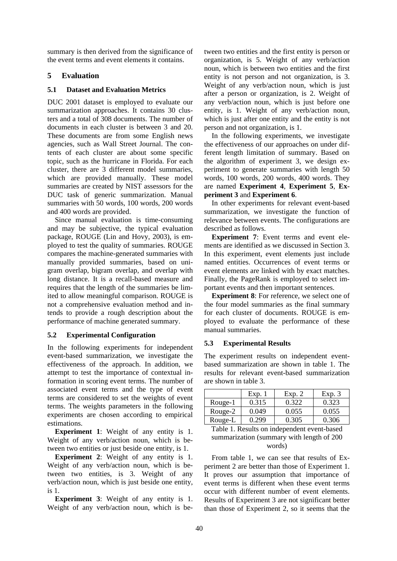summary is then derived from the significance of the event terms and event elements it contains.

## **5 Evaluation**

## **5.1 Dataset and Evaluation Metrics**

DUC 2001 dataset is employed to evaluate our summarization approaches. It contains 30 clusters and a total of 308 documents. The number of documents in each cluster is between 3 and 20. These documents are from some English news agencies, such as Wall Street Journal. The contents of each cluster are about some specific topic, such as the hurricane in Florida. For each cluster, there are 3 different model summaries, which are provided manually. These model summaries are created by NIST assessors for the DUC task of generic summarization. Manual summaries with 50 words, 100 words, 200 words and 400 words are provided.

Since manual evaluation is time-consuming and may be subjective, the typical evaluation package, ROUGE (Lin and Hovy, 2003), is employed to test the quality of summaries. ROUGE compares the machine-generated summaries with manually provided summaries, based on unigram overlap, bigram overlap, and overlap with long distance. It is a recall-based measure and requires that the length of the summaries be limited to allow meaningful comparison. ROUGE is not a comprehensive evaluation method and intends to provide a rough description about the performance of machine generated summary.

## **5.2 Experimental Configuration**

In the following experiments for independent event-based summarization, we investigate the effectiveness of the approach. In addition, we attempt to test the importance of contextual information in scoring event terms. The number of associated event terms and the type of event terms are considered to set the weights of event terms. The weights parameters in the following experiments are chosen according to empirical estimations.

**Experiment 1**: Weight of any entity is 1. Weight of any verb/action noun, which is between two entities or just beside one entity, is 1.

**Experiment 2:** Weight of any entity is 1. Weight of any verb/action noun, which is between two entities, is 3. Weight of any verb/action noun, which is just beside one entity, is 1.

**Experiment 3:** Weight of any entity is 1. Weight of any verb/action noun, which is between two entities and the first entity is person or organization, is 5. Weight of any verb/action noun, which is between two entities and the first entity is not person and not organization, is 3. Weight of any verb/action noun, which is just after a person or organization, is 2. Weight of any verb/action noun, which is just before one entity, is 1. Weight of any verb/action noun, which is just after one entity and the entity is not person and not organization, is 1.

In the following experiments, we investigate the effectiveness of our approaches on under different length limitation of summary. Based on the algorithm of experiment 3, we design experiment to generate summaries with length 50 words, 100 words, 200 words, 400 words. They are named **Experiment 4**, **Experiment 5**, **Experiment 3** and **Experiment 6**.

In other experiments for relevant event-based summarization, we investigate the function of relevance between events. The configurations are described as follows.

**Experiment 7**: Event terms and event elements are identified as we discussed in Section 3. In this experiment, event elements just include named entities. Occurrences of event terms or event elements are linked with by exact matches. Finally, the PageRank is employed to select important events and then important sentences.

**Experiment 8**: For reference, we select one of the four model summaries as the final summary for each cluster of documents. ROUGE is employed to evaluate the performance of these manual summaries.

## **5.3 Experimental Results**

The experiment results on independent eventbased summarization are shown in table 1. The results for relevant event-based summarization are shown in table 3.

|         | Exp.  | Exp. 2 | Exp. 3 |
|---------|-------|--------|--------|
| Rouge-1 | 0.315 | 0.322  | 0.323  |
| Rouge-2 | 0.049 | 0.055  | 0.055  |
| Rouge-L | 0.299 | 0.305  | 0.306  |

Table 1. Results on independent event-based summarization (summary with length of 200 words)

From table 1, we can see that results of Experiment 2 are better than those of Experiment 1. It proves our assumption that importance of event terms is different when these event terms occur with different number of event elements. Results of Experiment 3 are not significant better than those of Experiment 2, so it seems that the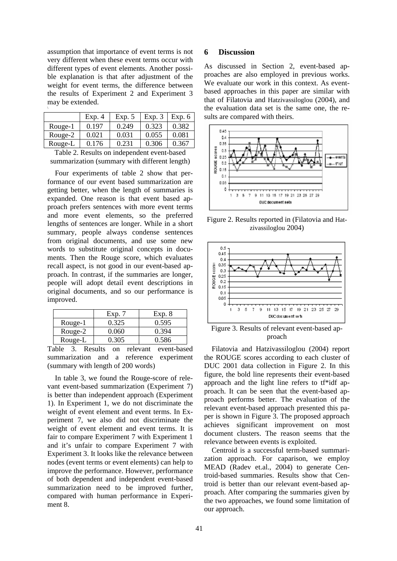assumption that importance of event terms is not very different when these event terms occur with different types of event elements. Another possible explanation is that after adjustment of the weight for event terms, the difference between the results of Experiment 2 and Experiment 3 may be extended. \

|                      | Exp. 4 | Exp. 5 | Exp. 3 | Exp. $6$ |
|----------------------|--------|--------|--------|----------|
| Rouge-1              | 0.197  | 0.249  | 0.323  | 0.382    |
| Rouge-2              | 0.021  | 0.031  | 0.055  | 0.081    |
| Rouge-L              | 0.176  | 0.231  | 0.306  | 0.367    |
| ---<br>$\sim$ $\sim$ |        |        |        |          |

Table 2. Results on independent event-based summarization (summary with different length)

Four experiments of table 2 show that performance of our event based summarization are getting better, when the length of summaries is expanded. One reason is that event based approach prefers sentences with more event terms and more event elements, so the preferred lengths of sentences are longer. While in a short summary, people always condense sentences from original documents, and use some new words to substitute original concepts in documents. Then the Rouge score, which evaluates recall aspect, is not good in our event-based approach. In contrast, if the summaries are longer, people will adopt detail event descriptions in original documents, and so our performance is improved.

|         | Exp.  | Exp. 8 |
|---------|-------|--------|
| Rouge-1 | 0.325 | 0.595  |
| Rouge-2 | 0.060 | 0.394  |
| Rouge-L | 0.305 | 0.586  |

Table 3. Results on relevant event-based summarization and a reference experiment (summary with length of 200 words)

In table 3, we found the Rouge-score of relevant event-based summarization (Experiment 7) is better than independent approach (Experiment 1). In Experiment 1, we do not discriminate the weight of event element and event terms. In Experiment 7, we also did not discriminate the weight of event element and event terms. It is fair to compare Experiment 7 with Experiment 1 and it's unfair to compare Experiment 7 with Experiment 3. It looks like the relevance between nodes (event terms or event elements) can help to improve the performance. However, performance of both dependent and independent event-based summarization need to be improved further, compared with human performance in Experiment 8.

## **6 Discussion**

As discussed in Section 2, event-based approaches are also employed in previous works. We evaluate our work in this context. As eventbased approaches in this paper are similar with that of Filatovia and Hatzivassiloglou (2004), and the evaluation data set is the same one, the results are compared with theirs.



Figure 2. Results reported in (Filatovia and Hatzivassiloglou 2004)



Figure 3. Results of relevant event-based approach

Filatovia and Hatzivassiloglou (2004) report the ROUGE scores according to each cluster of DUC 2001 data collection in Figure 2. In this figure, the bold line represents their event-based approach and the light line refers to tf\*idf approach. It can be seen that the event-based approach performs better. The evaluation of the relevant event-based approach presented this paper is shown in Figure 3. The proposed approach achieves significant improvement on most document clusters. The reason seems that the relevance between events is exploited.

Centroid is a successful term-based summarization approach. For caparison, we employ MEAD (Radev et.al., 2004) to generate Centroid-based summaries. Results show that Centroid is better than our relevant event-based approach. After comparing the summaries given by the two approaches, we found some limitation of our approach.